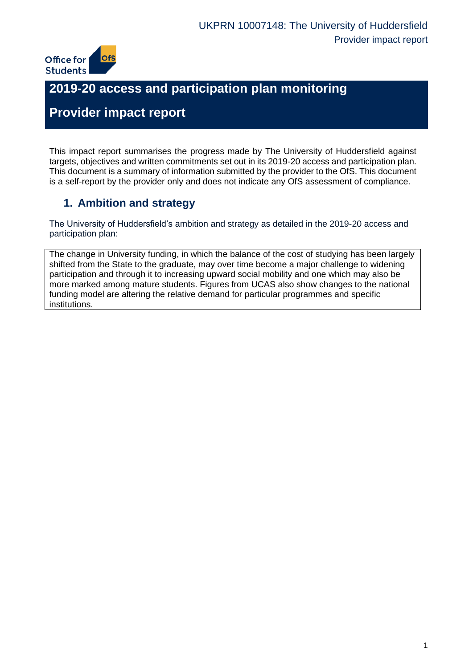

# **2019-20 access and participation plan monitoring**

# **Provider impact report**

This impact report summarises the progress made by The University of Huddersfield against targets, objectives and written commitments set out in its 2019-20 access and participation plan. This document is a summary of information submitted by the provider to the OfS. This document is a self-report by the provider only and does not indicate any OfS assessment of compliance.

## **1. Ambition and strategy**

The University of Huddersfield's ambition and strategy as detailed in the 2019-20 access and participation plan:

The change in University funding, in which the balance of the cost of studying has been largely shifted from the State to the graduate, may over time become a major challenge to widening participation and through it to increasing upward social mobility and one which may also be more marked among mature students. Figures from UCAS also show changes to the national funding model are altering the relative demand for particular programmes and specific institutions.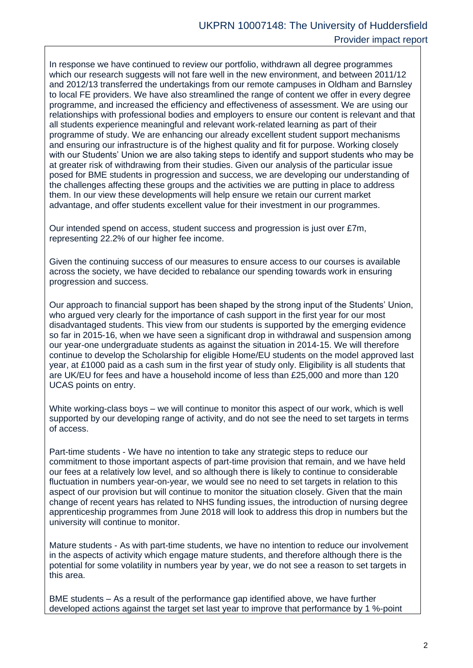In response we have continued to review our portfolio, withdrawn all degree programmes which our research suggests will not fare well in the new environment, and between 2011/12 and 2012/13 transferred the undertakings from our remote campuses in Oldham and Barnsley to local FE providers. We have also streamlined the range of content we offer in every degree programme, and increased the efficiency and effectiveness of assessment. We are using our relationships with professional bodies and employers to ensure our content is relevant and that all students experience meaningful and relevant work-related learning as part of their programme of study. We are enhancing our already excellent student support mechanisms and ensuring our infrastructure is of the highest quality and fit for purpose. Working closely with our Students' Union we are also taking steps to identify and support students who may be at greater risk of withdrawing from their studies. Given our analysis of the particular issue posed for BME students in progression and success, we are developing our understanding of the challenges affecting these groups and the activities we are putting in place to address them. In our view these developments will help ensure we retain our current market advantage, and offer students excellent value for their investment in our programmes.

Our intended spend on access, student success and progression is just over £7m, representing 22.2% of our higher fee income.

Given the continuing success of our measures to ensure access to our courses is available across the society, we have decided to rebalance our spending towards work in ensuring progression and success.

Our approach to financial support has been shaped by the strong input of the Students' Union, who argued very clearly for the importance of cash support in the first year for our most disadvantaged students. This view from our students is supported by the emerging evidence so far in 2015-16, when we have seen a significant drop in withdrawal and suspension among our year-one undergraduate students as against the situation in 2014-15. We will therefore continue to develop the Scholarship for eligible Home/EU students on the model approved last year, at £1000 paid as a cash sum in the first year of study only. Eligibility is all students that are UK/EU for fees and have a household income of less than £25,000 and more than 120 UCAS points on entry.

White working-class boys – we will continue to monitor this aspect of our work, which is well supported by our developing range of activity, and do not see the need to set targets in terms of access.

Part-time students - We have no intention to take any strategic steps to reduce our commitment to those important aspects of part-time provision that remain, and we have held our fees at a relatively low level, and so although there is likely to continue to considerable fluctuation in numbers year-on-year, we would see no need to set targets in relation to this aspect of our provision but will continue to monitor the situation closely. Given that the main change of recent years has related to NHS funding issues, the introduction of nursing degree apprenticeship programmes from June 2018 will look to address this drop in numbers but the university will continue to monitor.

Mature students - As with part-time students, we have no intention to reduce our involvement in the aspects of activity which engage mature students, and therefore although there is the potential for some volatility in numbers year by year, we do not see a reason to set targets in this area.

BME students – As a result of the performance gap identified above, we have further developed actions against the target set last year to improve that performance by 1 %-point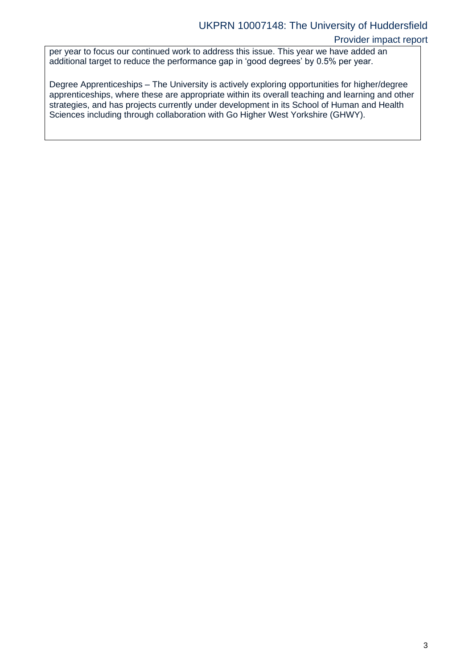#### UKPRN 10007148: The University of Huddersfield

#### Provider impact report

per year to focus our continued work to address this issue. This year we have added an additional target to reduce the performance gap in 'good degrees' by 0.5% per year.

Degree Apprenticeships – The University is actively exploring opportunities for higher/degree apprenticeships, where these are appropriate within its overall teaching and learning and other strategies, and has projects currently under development in its School of Human and Health Sciences including through collaboration with Go Higher West Yorkshire (GHWY).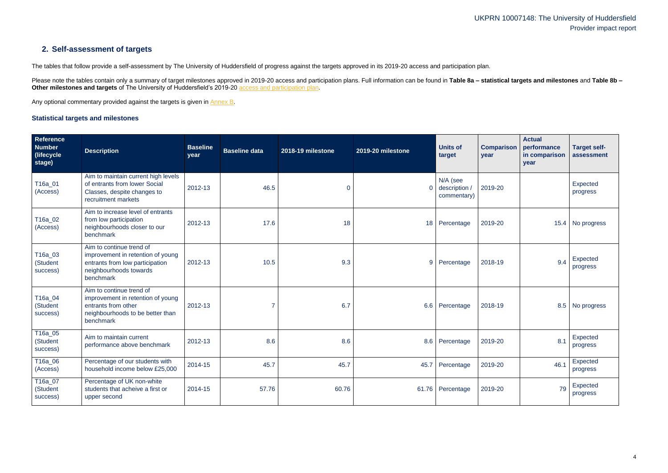### **2. Self-assessment of targets**

The tables that follow provide a self-assessment by The University of Huddersfield of progress against the targets approved in its 2019-20 access and participation plan.

Please note the tables contain only a summary of target milestones approved in 2019-20 access and participation plans. Full information can be found in Table 8a - statistical targets and milestones and Table 8b -**Other milestones and targets** of The University of Huddersfield's 2019-20 [access and participation](https://www.officeforstudents.org.uk/advice-and-guidance/the-register/search-for-access-and-participation-plans/#/AccessPlans/) plan.

Any optional commentary provided against the targets is given in [Annex B.](#page-10-0)

#### <span id="page-3-0"></span>**Statistical targets and milestones**

| Reference<br><b>Number</b><br>(lifecycle)<br>stage) | <b>Description</b>                                                                                                                      | <b>Baseline</b><br>year | <b>Baseline data</b> | 2018-19 milestone | 2019-20 milestone | <b>Units of</b><br>target                | <b>Comparison</b><br>year | <b>Actual</b><br>performance<br>in comparison<br>year | <b>Target self-</b><br>assessment |
|-----------------------------------------------------|-----------------------------------------------------------------------------------------------------------------------------------------|-------------------------|----------------------|-------------------|-------------------|------------------------------------------|---------------------------|-------------------------------------------------------|-----------------------------------|
| T16a_01<br>(Access)                                 | Aim to maintain current high levels<br>of entrants from lower Social<br>Classes, despite changes to<br>recruitment markets              | 2012-13                 | 46.5                 | $\bf 0$           | $\overline{0}$    | N/A (see<br>description /<br>commentary) | 2019-20                   |                                                       | Expected<br>progress              |
| T16a_02<br>(Access)                                 | Aim to increase level of entrants<br>from low participation<br>neighbourhoods closer to our<br>benchmark                                | 2012-13                 | 17.6                 | 18                |                   | 18 Percentage                            | 2019-20                   |                                                       | 15.4 No progress                  |
| T16a_03<br>(Student<br>success)                     | Aim to continue trend of<br>improvement in retention of young<br>entrants from low participation<br>neighbourhoods towards<br>benchmark | 2012-13                 | 10.5                 | 9.3               |                   | 9 Percentage                             | 2018-19                   | 9.4                                                   | <b>Expected</b><br>progress       |
| T16a_04<br>(Student<br>success)                     | Aim to continue trend of<br>improvement in retention of young<br>entrants from other<br>neighbourhoods to be better than<br>benchmark   | 2012-13                 |                      | 6.7               |                   | 6.6 Percentage                           | 2018-19                   |                                                       | 8.5 No progress                   |
| T16a_05<br>(Student<br>success)                     | Aim to maintain current<br>performance above benchmark                                                                                  | 2012-13                 | 8.6                  | 8.6               |                   | 8.6 Percentage                           | 2019-20                   | 8.1                                                   | Expected<br>progress              |
| T <sub>16a_06</sub><br>(Access)                     | Percentage of our students with<br>household income below £25,000                                                                       | 2014-15                 | 45.7                 | 45.7              | 45.7              | Percentage                               | 2019-20                   | 46.1                                                  | Expected<br>progress              |
| T <sub>16a_07</sub><br>(Student<br>success)         | Percentage of UK non-white<br>students that acheive a first or<br>upper second                                                          | 2014-15                 | 57.76                | 60.76             |                   | 61.76 Percentage                         | 2019-20                   | 79                                                    | Expected<br>progress              |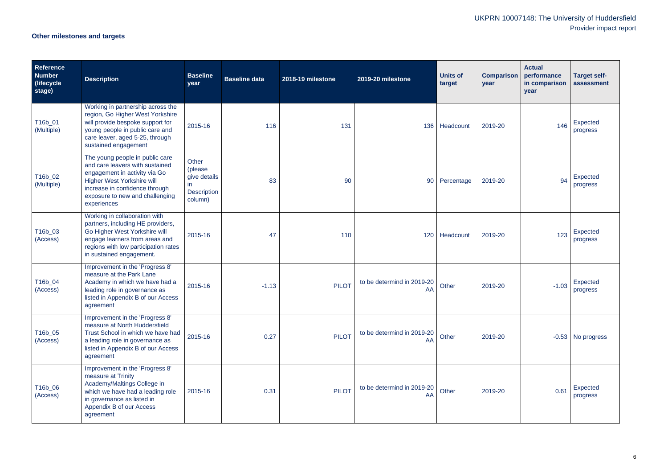# **Other milestones and targets**

| <b>Reference</b><br><b>Number</b><br>(lifecycle<br>stage) | <b>Description</b>                                                                                                                                                                                                           | <b>Baseline</b><br>year                                                           | <b>Baseline data</b> | 2018-19 milestone | 2019-20 milestone                | <b>Units of</b><br>target | <b>Comparison</b><br>year | <b>Actual</b><br>performance<br>in comparison<br>year | <b>Target self-</b><br>assessment |
|-----------------------------------------------------------|------------------------------------------------------------------------------------------------------------------------------------------------------------------------------------------------------------------------------|-----------------------------------------------------------------------------------|----------------------|-------------------|----------------------------------|---------------------------|---------------------------|-------------------------------------------------------|-----------------------------------|
| T16b_01<br>(Multiple)                                     | Working in partnership across the<br>region, Go Higher West Yorkshire<br>will provide bespoke support for<br>young people in public care and<br>care leaver, aged 5-25, through<br>sustained engagement                      | 2015-16                                                                           | 116                  | 131               |                                  | 136 Headcount             | 2019-20                   | 146                                                   | Expected<br>progress              |
| T16b_02<br>(Multiple)                                     | The young people in public care<br>and care leavers with sustained<br>engagement in activity via Go<br><b>Higher West Yorkshire will</b><br>increase in confidence through<br>exposure to new and challenging<br>experiences | Other<br>(please<br>give details<br>$\mathsf{I}$<br><b>Description</b><br>column) | 83                   | 90                | 90                               | Percentage                | 2019-20                   | 94                                                    | Expected<br>progress              |
| T16b_03<br>(Access)                                       | Working in collaboration with<br>partners, including HE providers,<br>Go Higher West Yorkshire will<br>engage learners from areas and<br>regions with low participation rates<br>in sustained engagement.                    | 2015-16                                                                           | 47                   | 110               | 120                              | Headcount                 | 2019-20                   | 123                                                   | Expected<br>progress              |
| T16b_04<br>(Access)                                       | Improvement in the 'Progress 8'<br>measure at the Park Lane<br>Academy in which we have had a<br>leading role in governance as<br>listed in Appendix B of our Access<br>agreement                                            | 2015-16                                                                           | $-1.13$              | <b>PILOT</b>      | to be determind in 2019-20<br>AA | Other                     | 2019-20                   | $-1.03$                                               | Expected<br>progress              |
| T16b_05<br>(Access)                                       | Improvement in the 'Progress 8'<br>measure at North Huddersfield<br>Trust School in which we have had<br>a leading role in governance as<br>listed in Appendix B of our Access<br>agreement                                  | 2015-16                                                                           | 0.27                 | <b>PILOT</b>      | to be determind in 2019-20<br>AA | Other                     | 2019-20                   |                                                       | $-0.53$ No progress               |
| T16b_06<br>(Access)                                       | Improvement in the 'Progress 8'<br>measure at Trinity<br>Academy/Maltings College in<br>which we have had a leading role<br>in governance as listed in<br>Appendix B of our Access<br>agreement                              | 2015-16                                                                           | 0.31                 | <b>PILOT</b>      | to be determind in 2019-20<br>AA | Other                     | 2019-20                   | 0.61                                                  | Expected<br>progress              |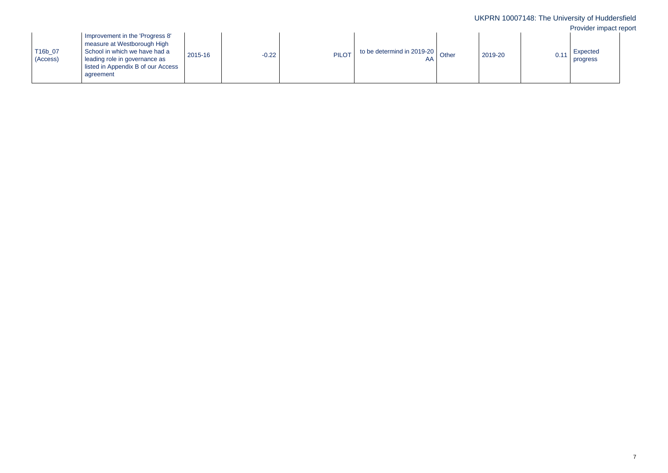| T16b_07<br>(Access) | Improvement in the 'Progress 8'<br>measure at Westborough High<br>School in which we have had a<br>leading role in governance as<br>listed in Appendix B of our Access<br>agreement | 2015-16 | $-0.22$ | <b>PILOT</b> | to be determind in 2019-20 $\big $ Other |  | 2019-20 |  | Expected<br>progress |
|---------------------|-------------------------------------------------------------------------------------------------------------------------------------------------------------------------------------|---------|---------|--------------|------------------------------------------|--|---------|--|----------------------|
|---------------------|-------------------------------------------------------------------------------------------------------------------------------------------------------------------------------------|---------|---------|--------------|------------------------------------------|--|---------|--|----------------------|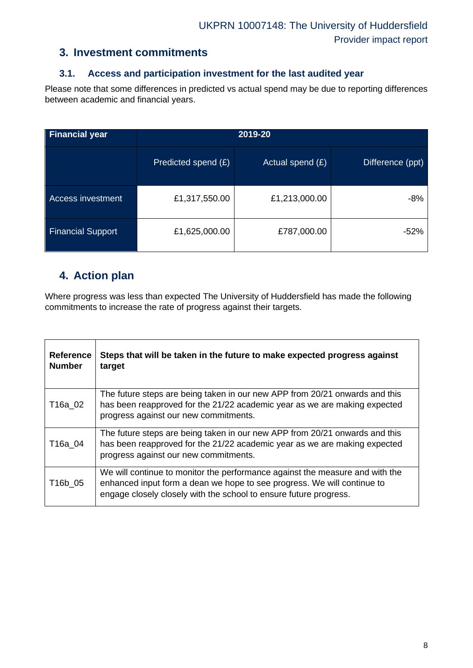#### **3. Investment commitments**

#### **3.1. Access and participation investment for the last audited year**

Please note that some differences in predicted vs actual spend may be due to reporting differences between academic and financial years.

| <b>Financial year</b>    | 2019-20             |                    |                  |  |  |  |
|--------------------------|---------------------|--------------------|------------------|--|--|--|
|                          | Predicted spend (£) | Actual spend $(E)$ | Difference (ppt) |  |  |  |
| <b>Access investment</b> | £1,317,550.00       | £1,213,000.00      | -8%              |  |  |  |
| <b>Financial Support</b> | £1,625,000.00       | £787,000.00        | -52%             |  |  |  |

#### **4. Action plan**

Where progress was less than expected The University of Huddersfield has made the following commitments to increase the rate of progress against their targets.

| <b>Reference</b><br><b>Number</b> | Steps that will be taken in the future to make expected progress against<br>target                                                                                                                                           |
|-----------------------------------|------------------------------------------------------------------------------------------------------------------------------------------------------------------------------------------------------------------------------|
| T16a 02                           | The future steps are being taken in our new APP from 20/21 onwards and this<br>has been reapproved for the 21/22 academic year as we are making expected<br>progress against our new commitments.                            |
| T16a 04                           | The future steps are being taken in our new APP from 20/21 onwards and this<br>has been reapproved for the 21/22 academic year as we are making expected<br>progress against our new commitments.                            |
| T16b 05                           | We will continue to monitor the performance against the measure and with the<br>enhanced input form a dean we hope to see progress. We will continue to<br>engage closely closely with the school to ensure future progress. |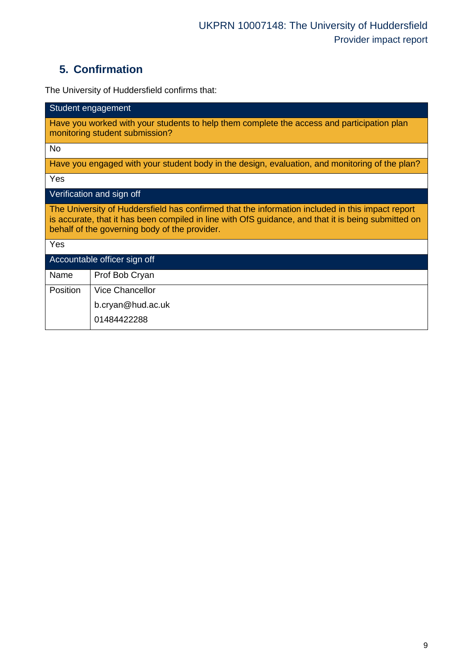# **5. Confirmation**

The University of Huddersfield confirms that:

| Student engagement                                                                                                                                                                                                                                       |  |  |  |  |  |
|----------------------------------------------------------------------------------------------------------------------------------------------------------------------------------------------------------------------------------------------------------|--|--|--|--|--|
| Have you worked with your students to help them complete the access and participation plan<br>monitoring student submission?                                                                                                                             |  |  |  |  |  |
| <b>No</b>                                                                                                                                                                                                                                                |  |  |  |  |  |
| Have you engaged with your student body in the design, evaluation, and monitoring of the plan?                                                                                                                                                           |  |  |  |  |  |
| Yes                                                                                                                                                                                                                                                      |  |  |  |  |  |
| Verification and sign off                                                                                                                                                                                                                                |  |  |  |  |  |
| The University of Huddersfield has confirmed that the information included in this impact report<br>is accurate, that it has been compiled in line with OfS guidance, and that it is being submitted on<br>behalf of the governing body of the provider. |  |  |  |  |  |
| Yes                                                                                                                                                                                                                                                      |  |  |  |  |  |
| Accountable officer sign off                                                                                                                                                                                                                             |  |  |  |  |  |
| Name<br>Prof Bob Cryan                                                                                                                                                                                                                                   |  |  |  |  |  |
| <b>Position</b><br><b>Vice Chancellor</b>                                                                                                                                                                                                                |  |  |  |  |  |
| b.cryan@hud.ac.uk                                                                                                                                                                                                                                        |  |  |  |  |  |
| 01484422288                                                                                                                                                                                                                                              |  |  |  |  |  |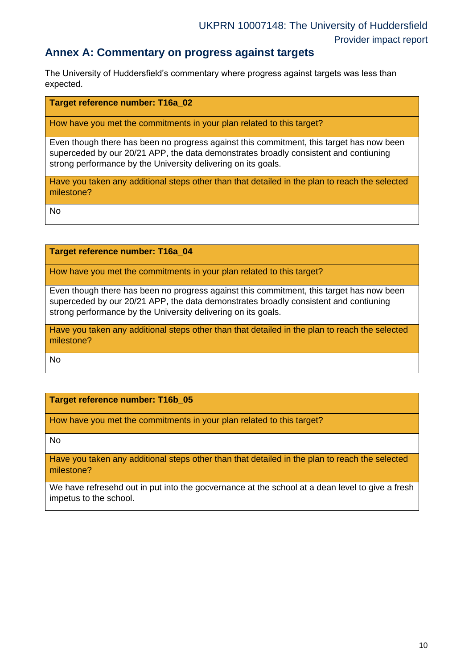#### **Annex A: Commentary on progress against targets**

The University of Huddersfield's commentary where progress against targets was less than expected.

#### **Target reference number: T16a\_02**

How have you met the commitments in your plan related to this target?

Even though there has been no progress against this commitment, this target has now been superceded by our 20/21 APP, the data demonstrates broadly consistent and contiuning strong performance by the University delivering on its goals.

Have you taken any additional steps other than that detailed in the plan to reach the selected milestone?

No

**Target reference number: T16a\_04**

How have you met the commitments in your plan related to this target?

Even though there has been no progress against this commitment, this target has now been superceded by our 20/21 APP, the data demonstrates broadly consistent and contiuning strong performance by the University delivering on its goals.

Have you taken any additional steps other than that detailed in the plan to reach the selected milestone?

No

**Target reference number: T16b\_05**

How have you met the commitments in your plan related to this target?

No

Have you taken any additional steps other than that detailed in the plan to reach the selected milestone?

We have refresehd out in put into the gocvernance at the school at a dean level to give a fresh impetus to the school.